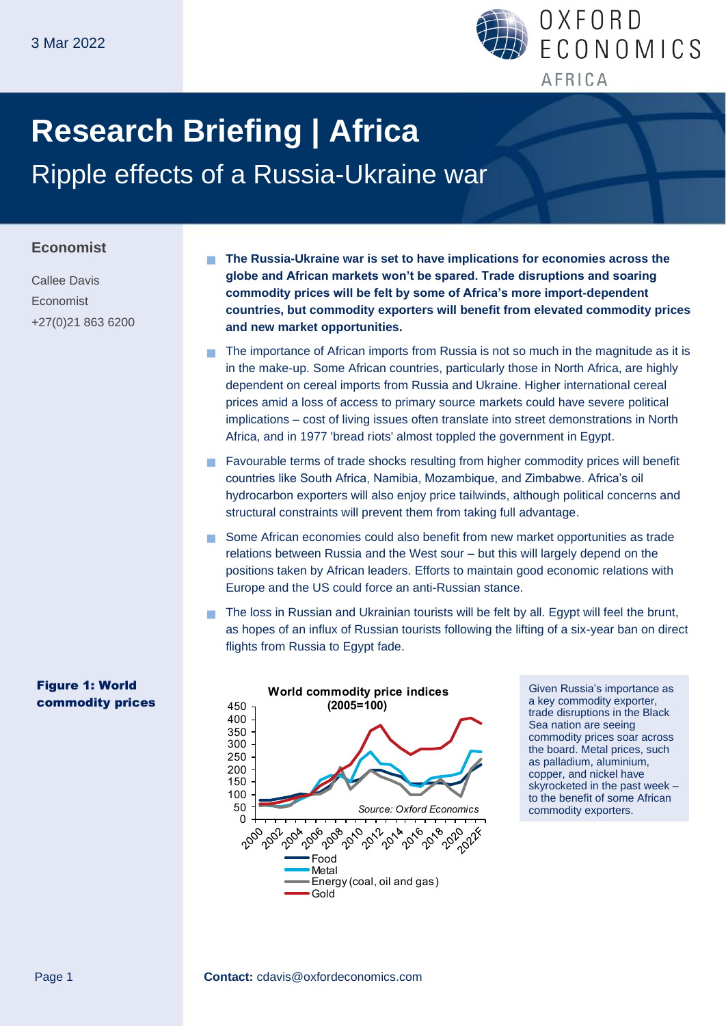

# **Research Briefing | Africa** Ripple effects of a Russia-Ukraine war

#### **Economist**

Callee Davis Economist +27(0)21 863 6200

Figure 1: World commodity prices  **The Russia-Ukraine war is set to have implications for economies across the globe and African markets won't be spared. Trade disruptions and soaring commodity prices will be felt by some of Africa's more import-dependent countries, but commodity exporters will benefit from elevated commodity prices and new market opportunities.** 

- The importance of African imports from Russia is not so much in the magnitude as it is in the make-up. Some African countries, particularly those in North Africa, are highly dependent on cereal imports from Russia and Ukraine. Higher international cereal prices amid a loss of access to primary source markets could have severe political implications – cost of living issues often translate into street demonstrations in North Africa, and in 1977 'bread riots' almost toppled the government in Egypt.
- Favourable terms of trade shocks resulting from higher commodity prices will benefit countries like South Africa, Namibia, Mozambique, and Zimbabwe. Africa's oil hydrocarbon exporters will also enjoy price tailwinds, although political concerns and structural constraints will prevent them from taking full advantage.
- Some African economies could also benefit from new market opportunities as trade relations between Russia and the West sour – but this will largely depend on the positions taken by African leaders. Efforts to maintain good economic relations with Europe and the US could force an anti-Russian stance.
- The loss in Russian and Ukrainian tourists will be felt by all. Egypt will feel the brunt, as hopes of an influx of Russian tourists following the lifting of a six-year ban on direct flights from Russia to Egypt fade.



Given Russia's importance as a key commodity exporter, trade disruptions in the Black Sea nation are seeing commodity prices soar across the board. Metal prices, such as palladium, aluminium, copper, and nickel have skyrocketed in the past week – to the benefit of some African commodity exporters.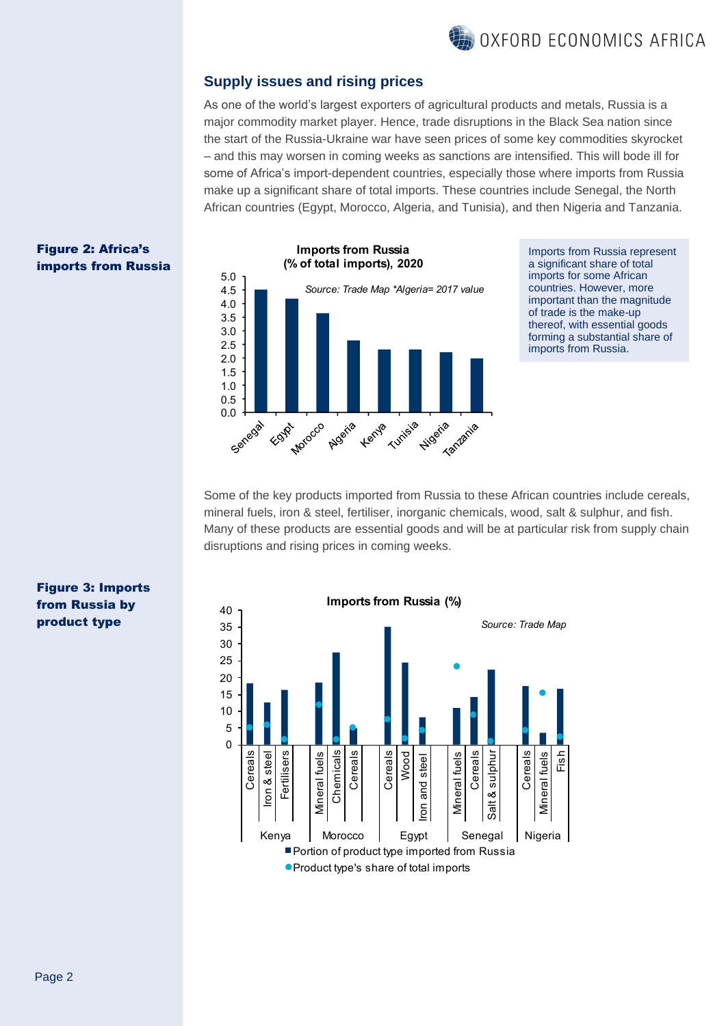## OXFORD ECONOMICS AFRICA

#### **Supply issues and rising prices**

As one of the world's largest exporters of agricultural products and metals, Russia is a major commodity market player. Hence, trade disruptions in the Black Sea nation since the start of the Russia-Ukraine war have seen prices of some key commodities skyrocket – and this may worsen in coming weeks as sanctions are intensified. This will bode ill for some of Africa's import-dependent countries, especially those where imports from Russia make up a significant share of total imports. These countries include Senegal, the North African countries (Egypt, Morocco, Algeria, and Tunisia), and then Nigeria and Tanzania.



Imports from Russia represent a significant share of total imports for some African countries. However, more important than the magnitude of trade is the make-up thereof, with essential goods forming a substantial share of imports from Russia.

Some of the key products imported from Russia to these African countries include cereals, mineral fuels, iron & steel, fertiliser, inorganic chemicals, wood, salt & sulphur, and fish. Many of these products are essential goods and will be at particular risk from supply chain disruptions and rising prices in coming weeks.



#### Figure 3: Imports from Russia by product type

Figure 2: Africa's imports from Russia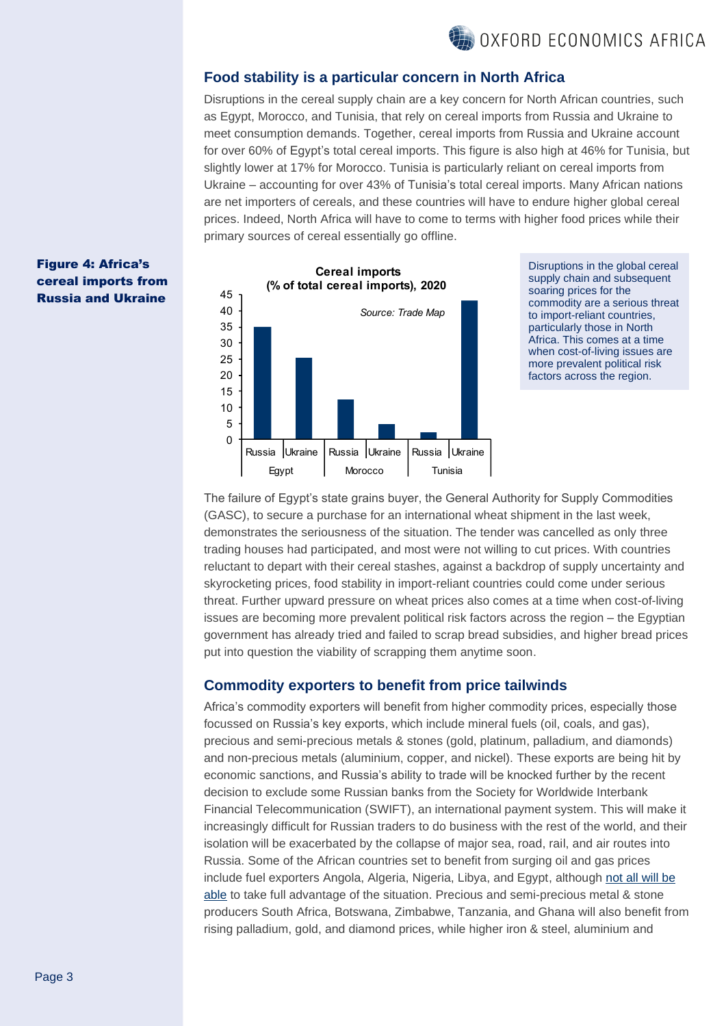

#### **Food stability is a particular concern in North Africa**

Disruptions in the cereal supply chain are a key concern for North African countries, such as Egypt, Morocco, and Tunisia, that rely on cereal imports from Russia and Ukraine to meet consumption demands. Together, cereal imports from Russia and Ukraine account for over 60% of Egypt's total cereal imports. This figure is also high at 46% for Tunisia, but slightly lower at 17% for Morocco. Tunisia is particularly reliant on cereal imports from Ukraine – accounting for over 43% of Tunisia's total cereal imports. Many African nations are net importers of cereals, and these countries will have to endure higher global cereal prices. Indeed, North Africa will have to come to terms with higher food prices while their primary sources of cereal essentially go offline.

#### Figure 4: Africa's cereal imports from Russia and Ukraine



Disruptions in the global cereal supply chain and subsequent soaring prices for the commodity are a serious threat to import-reliant countries, particularly those in North Africa. This comes at a time when cost-of-living issues are more prevalent political risk factors across the region.

The failure of Egypt's state grains buyer, the General Authority for Supply Commodities (GASC), to secure a purchase for an international wheat shipment in the last week, demonstrates the seriousness of the situation. The tender was cancelled as only three trading houses had participated, and most were not willing to cut prices. With countries reluctant to depart with their cereal stashes, against a backdrop of supply uncertainty and skyrocketing prices, food stability in import-reliant countries could come under serious threat. Further upward pressure on wheat prices also comes at a time when cost-of-living issues are becoming more prevalent political risk factors across the region – the Egyptian government has already tried and failed to scrap bread subsidies, and higher bread prices put into question the viability of scrapping them anytime soon.

#### **Commodity exporters to benefit from price tailwinds**

Africa's commodity exporters will benefit from higher commodity prices, especially those focussed on Russia's key exports, which include mineral fuels (oil, coals, and gas), precious and semi-precious metals & stones (gold, platinum, palladium, and diamonds) and non-precious metals (aluminium, copper, and nickel). These exports are being hit by economic sanctions, and Russia's ability to trade will be knocked further by the recent decision to exclude some Russian banks from the Society for Worldwide Interbank Financial Telecommunication (SWIFT), an international payment system. This will make it increasingly difficult for Russian traders to do business with the rest of the world, and their isolation will be exacerbated by the collapse of major sea, road, rail, and air routes into Russia. Some of the African countries set to benefit from surging oil and gas prices include fuel exporters Angola, Algeria, Nigeria, Libya, and Egypt, although not all will be [able](https://www.oxfordeconomics.com/my-oxford/publications/680214) to take full advantage of the situation. Precious and semi-precious metal & stone producers South Africa, Botswana, Zimbabwe, Tanzania, and Ghana will also benefit from rising palladium, gold, and diamond prices, while higher iron & steel, aluminium and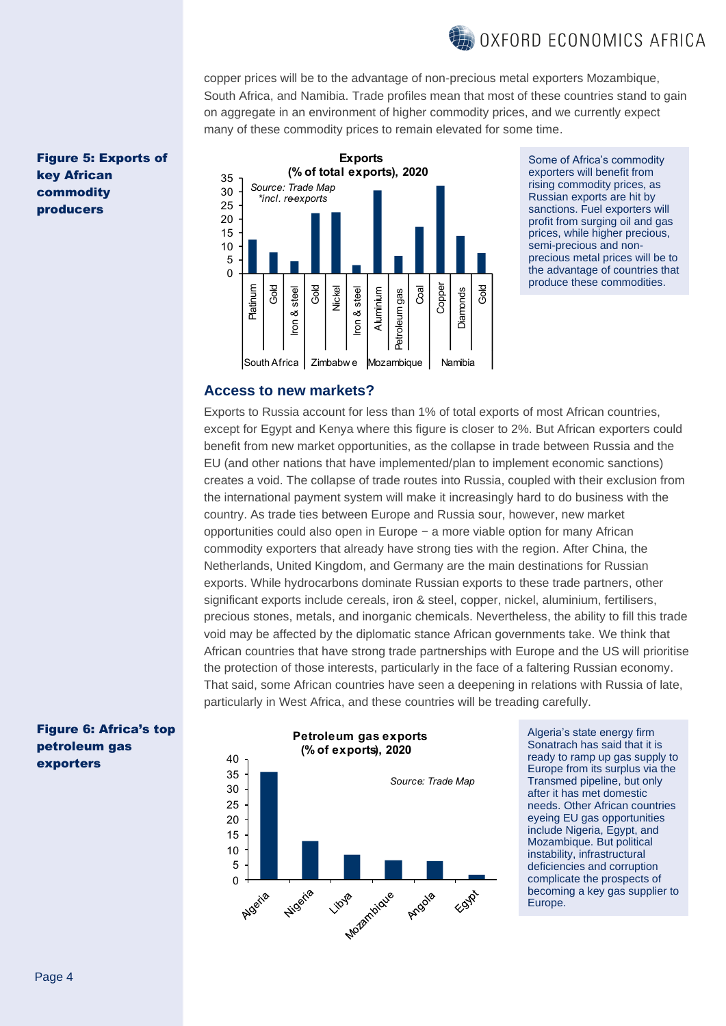

copper prices will be to the advantage of non-precious metal exporters Mozambique, South Africa, and Namibia. Trade profiles mean that most of these countries stand to gain on aggregate in an environment of higher commodity prices, and we currently expect many of these commodity prices to remain elevated for some time.

Figure 5: Exports of key African commodity producers



Some of Africa's commodit exporters will benefit from rising commodity prices, as Russian exports are hit by sanctions. Fuel exporters will profit from surging oil and gas prices, while higher precious, semi-precious and nonprecious metal prices will be to the advantage of countries that produce these commodities.

#### **Access to new markets?**

Exports to Russia account for less than 1% of total exports of most African countries, except for Egypt and Kenya where this figure is closer to 2%. But African exporters could benefit from new market opportunities, as the collapse in trade between Russia and the EU (and other nations that have implemented/plan to implement economic sanctions) creates a void. The collapse of trade routes into Russia, coupled with their exclusion from the international payment system will make it increasingly hard to do business with the country. As trade ties between Europe and Russia sour, however, new market opportunities could also open in Europe − a more viable option for many African commodity exporters that already have strong ties with the region. After China, the Netherlands, United Kingdom, and Germany are the main destinations for Russian exports. While hydrocarbons dominate Russian exports to these trade partners, other significant exports include cereals, iron & steel, copper, nickel, aluminium, fertilisers, precious stones, metals, and inorganic chemicals. Nevertheless, the ability to fill this trade void may be affected by the diplomatic stance African governments take. We think that African countries that have strong trade partnerships with Europe and the US will prioritise the protection of those interests, particularly in the face of a faltering Russian economy. That said, some African countries have seen a deepening in relations with Russia of late, particularly in West Africa, and these countries will be treading carefully.

#### Figure 6: Africa's top petroleum gas exporters

#### **Petroleum gas exports** (% of exports), 2020



Algeria's state energy firm Sonatrach has said that it is ready to ramp up gas supply to Europe from its surplus via the Transmed pipeline, but only after it has met domestic needs. Other African countries eyeing EU gas opportunities include Nigeria, Egypt, and Mozambique. But political instability, infrastructural deficiencies and corruption complicate the prospects of becoming a key gas supplier to Europe.